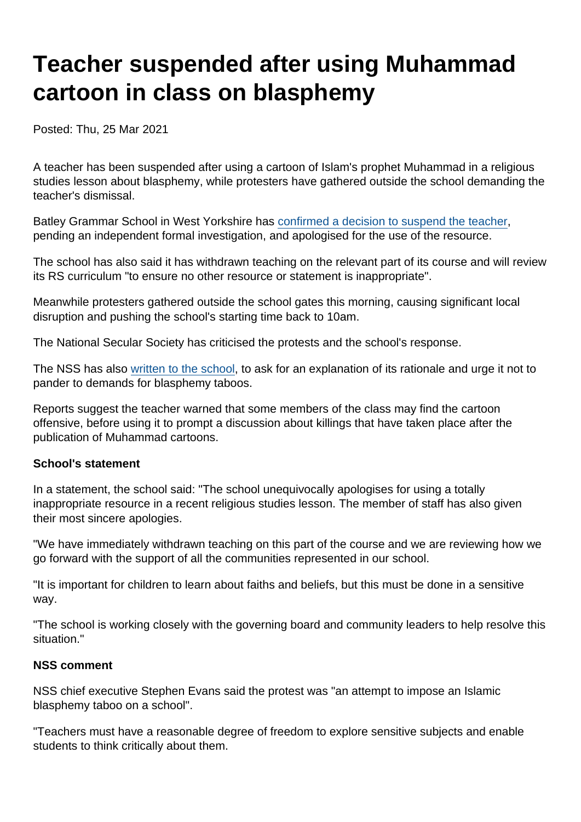# Teacher suspended after using Muhammad cartoon in class on blasphemy

Posted: Thu, 25 Mar 2021

A teacher has been suspended after using a cartoon of Islam's prophet Muhammad in a religious studies lesson about blasphemy, while protesters have gathered outside the school demanding the teacher's dismissal.

Batley Grammar School in West Yorkshire has [confirmed a decision to suspend the teacher](https://www.examinerlive.co.uk/news/local-news/batley-grammar-school-issues-statement-20254608), pending an independent formal investigation, and apologised for the use of the resource.

The school has also said it has withdrawn teaching on the relevant part of its course and will review its RS curriculum "to ensure no other resource or statement is inappropriate".

Meanwhile protesters gathered outside the school gates this morning, causing significant local disruption and pushing the school's starting time back to 10am.

The National Secular Society has criticised the protests and the school's response.

The NSS has also [written to the school,](https://www.secularism.org.uk/uploads/210326-gary-kibble-batley-grammar.pdf) to ask for an explanation of its rationale and urge it not to pander to demands for blasphemy taboos.

Reports suggest the teacher warned that some members of the class may find the cartoon offensive, before using it to prompt a discussion about killings that have taken place after the publication of Muhammad cartoons.

#### School's statement

In a statement, the school said: "The school unequivocally apologises for using a totally inappropriate resource in a recent religious studies lesson. The member of staff has also given their most sincere apologies.

"We have immediately withdrawn teaching on this part of the course and we are reviewing how we go forward with the support of all the communities represented in our school.

"It is important for children to learn about faiths and beliefs, but this must be done in a sensitive way.

"The school is working closely with the governing board and community leaders to help resolve this situation."

#### NSS comment

NSS chief executive Stephen Evans said the protest was "an attempt to impose an Islamic blasphemy taboo on a school".

"Teachers must have a reasonable degree of freedom to explore sensitive subjects and enable students to think critically about them.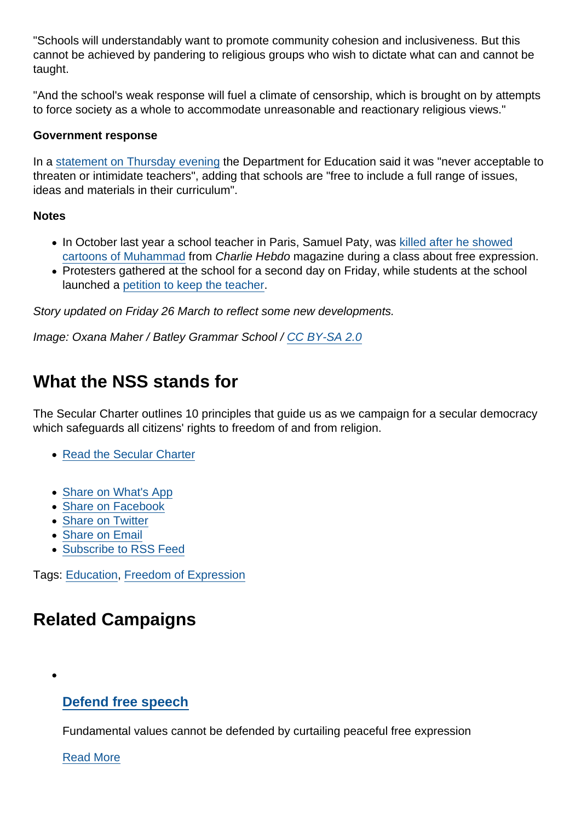"Schools will understandably want to promote community cohesion and inclusiveness. But this cannot be achieved by pandering to religious groups who wish to dictate what can and cannot be taught.

"And the school's weak response will fuel a climate of censorship, which is brought on by attempts to force society as a whole to accommodate unreasonable and reactionary religious views."

### Government response

In a [statement on Thursday evening](https://news.sky.com/story/parents-protest-outside-batley-grammar-school-after-image-of-prophet-mohammed-is-shown-in-class-12256247) the Department for Education said it was "never acceptable to threaten or intimidate teachers", adding that schools are "free to include a full range of issues, ideas and materials in their curriculum".

### **Notes**

- In October last year a school teacher in Paris, Samuel Paty, was [killed after he showed](https://www.secularism.org.uk/opinion/2020/10/brutally-murdered-for-doing-his-job) [cartoons of Muhammad](https://www.secularism.org.uk/opinion/2020/10/brutally-murdered-for-doing-his-job) from Charlie Hebdo magazine during a class about free expression.
- Protesters gathered at the school for a second day on Friday, while students at the school launched a [petition to keep the teacher.](https://www.change.org/p/batley-grammar-school-keep-mr-denville-at-batley-grammar-school)

Story updated on Friday 26 March to reflect some new developments.

Image: Oxana Maher / Batley Grammar School / [CC BY-SA 2.0](https://creativecommons.org/licenses/by-sa/2.0/)

# What the NSS stands for

The Secular Charter outlines 10 principles that guide us as we campaign for a secular democracy which safeguards all citizens' rights to freedom of and from religion.

- [Read the Secular Charter](https://www.secularism.org.uk/the-secular-charter.html)
- [Share on What's App](whatsapp://send?text=http://www.secularism.org.uk/news/2021/03/teacher-suspended-after-using-muhammad-cartoon-in-class-on-blasphemy?format=pdf)
- [Share on Facebook](https://www.facebook.com/sharer/sharer.php?u=http://www.secularism.org.uk/news/2021/03/teacher-suspended-after-using-muhammad-cartoon-in-class-on-blasphemy?format=pdf&t=Teacher+suspended+after+using+Muhammad+cartoon+in+class+on+blasphemy)
- [Share on Twitter](https://twitter.com/intent/tweet?url=http://www.secularism.org.uk/news/2021/03/teacher-suspended-after-using-muhammad-cartoon-in-class-on-blasphemy?format=pdf&text=Teacher+suspended+after+using+Muhammad+cartoon+in+class+on+blasphemy&via=NatSecSoc)
- [Share on Email](https://www.secularism.org.uk/share.html?url=http://www.secularism.org.uk/news/2021/03/teacher-suspended-after-using-muhammad-cartoon-in-class-on-blasphemy?format=pdf&title=Teacher+suspended+after+using+Muhammad+cartoon+in+class+on+blasphemy)
- [Subscribe to RSS Feed](/mnt/web-data/www/cp-nss/feeds/rss/news)

Tags: [Education,](https://www.secularism.org.uk/news/tags/Education) [Freedom of Expression](https://www.secularism.org.uk/news/tags/Freedom+of+Expression)

# Related Campaigns

### [Defend free speech](https://www.secularism.org.uk/defend-free-speech/)

Fundamental values cannot be defended by curtailing peaceful free expression

[Read More](https://www.secularism.org.uk/defend-free-speech/)